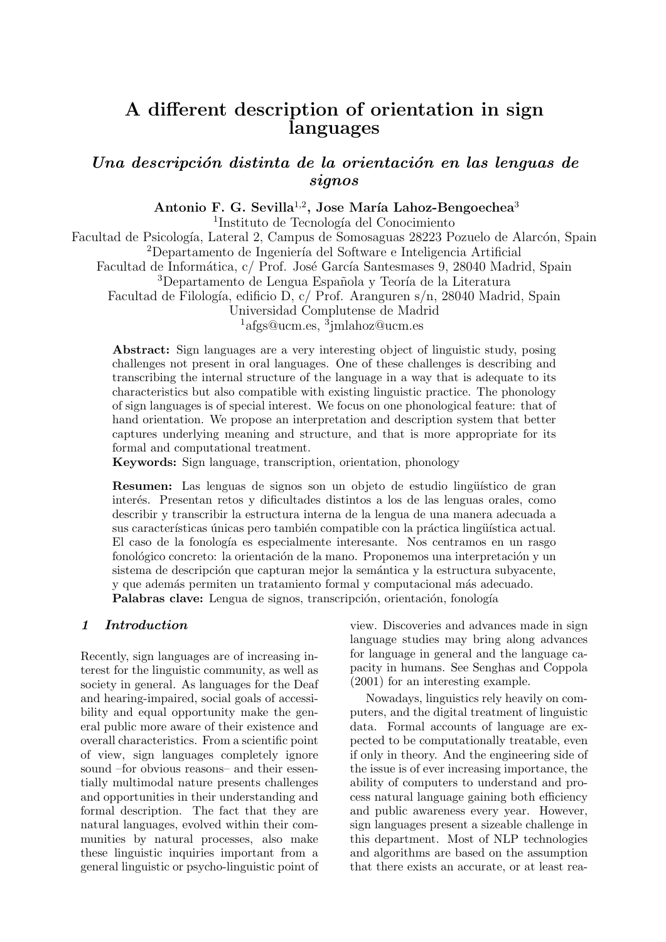# <span id="page-0-0"></span>A different description of orientation in sign languages

# Una descripción distinta de la orientación en las lenguas de signos

Antonio F. G. Sevilla<sup>1,2</sup>, Jose María Lahoz-Bengoechea<sup>3</sup>

<sup>1</sup>Instituto de Tecnología del Conocimiento

Facultad de Psicología, Lateral 2, Campus de Somosaguas 28223 Pozuelo de Alarcón, Spain <sup>2</sup>Departamento de Ingeniería del Software e Inteligencia Artificial

Facultad de Informática, c/ Prof. José García Santesmases 9, 28040 Madrid, Spain <sup>3</sup>Departamento de Lengua Española y Teoría de la Literatura

Facultad de Filología, edificio D, c/ Prof. Aranguren s/n, 28040 Madrid, Spain

Universidad Complutense de Madrid

<sup>1</sup>afgs@ucm.es, <sup>3</sup>jmlahoz@ucm.es

Abstract: Sign languages are a very interesting object of linguistic study, posing challenges not present in oral languages. One of these challenges is describing and transcribing the internal structure of the language in a way that is adequate to its characteristics but also compatible with existing linguistic practice. The phonology of sign languages is of special interest. We focus on one phonological feature: that of hand orientation. We propose an interpretation and description system that better captures underlying meaning and structure, and that is more appropriate for its formal and computational treatment.

Keywords: Sign language, transcription, orientation, phonology

Resumen: Las lenguas de signos son un objeto de estudio lingüístico de gran inter´es. Presentan retos y dificultades distintos a los de las lenguas orales, como describir y transcribir la estructura interna de la lengua de una manera adecuada a sus características únicas pero también compatible con la práctica lingüística actual. El caso de la fonología es especialmente interesante. Nos centramos en un rasgo fonológico concreto: la orientación de la mano. Proponemos una interpretación y un  $s$ istema de descripción que capturan mejor la semántica y la estructura subyacente, y que adem´as permiten un tratamiento formal y computacional m´as adecuado. Palabras clave: Lengua de signos, transcripción, orientación, fonología

# 1 Introduction

Recently, sign languages are of increasing interest for the linguistic community, as well as society in general. As languages for the Deaf and hearing-impaired, social goals of accessibility and equal opportunity make the general public more aware of their existence and overall characteristics. From a scientific point of view, sign languages completely ignore sound –for obvious reasons– and their essentially multimodal nature presents challenges and opportunities in their understanding and formal description. The fact that they are natural languages, evolved within their communities by natural processes, also make these linguistic inquiries important from a general linguistic or psycho-linguistic point of view. Discoveries and advances made in sign language studies may bring along advances for language in general and the language capacity in humans. See Senghas and Coppola (2001) for an interesting example.

Nowadays, linguistics rely heavily on computers, and the digital treatment of linguistic data. Formal accounts of language are expected to be computationally treatable, even if only in theory. And the engineering side of the issue is of ever increasing importance, the ability of computers to understand and process natural language gaining both efficiency and public awareness every year. However, sign languages present a sizeable challenge in this department. Most of NLP technologies and algorithms are based on the assumption that there exists an accurate, or at least rea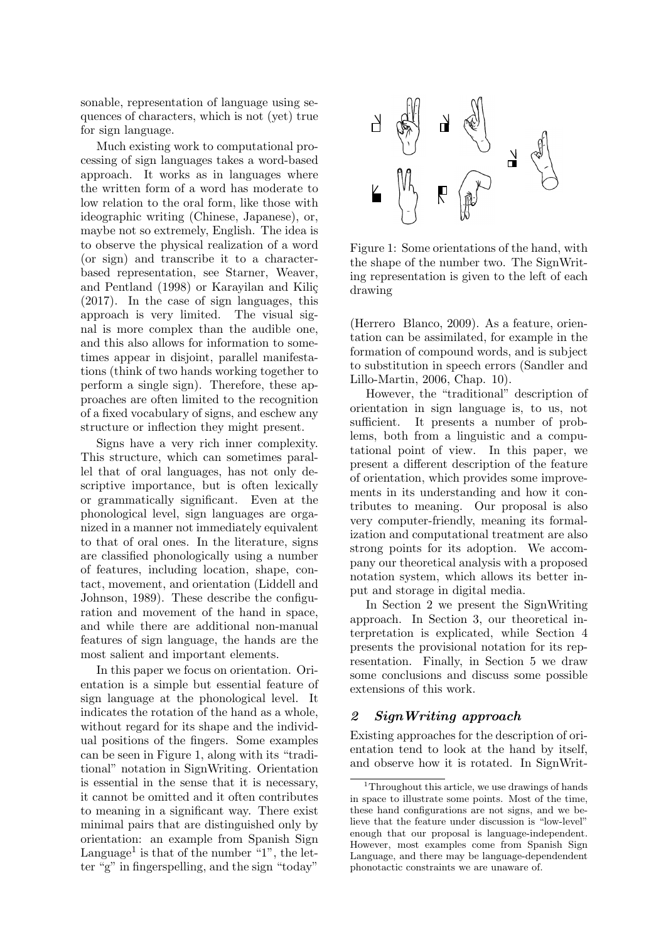sonable, representation of language using sequences of characters, which is not (yet) true for sign language.

Much existing work to computational processing of sign languages takes a word-based approach. It works as in languages where the written form of a word has moderate to low relation to the oral form, like those with ideographic writing (Chinese, Japanese), or, maybe not so extremely, English. The idea is to observe the physical realization of a word (or sign) and transcribe it to a characterbased representation, see [Starner, Weaver,](#page-0-0) [and Pentland \(1998\)](#page-0-0) or Karayilan and Kiliç [\(2017\)](#page-0-0). In the case of sign languages, this approach is very limited. The visual signal is more complex than the audible one, and this also allows for information to sometimes appear in disjoint, parallel manifestations (think of two hands working together to perform a single sign). Therefore, these approaches are often limited to the recognition of a fixed vocabulary of signs, and eschew any structure or inflection they might present.

Signs have a very rich inner complexity. This structure, which can sometimes parallel that of oral languages, has not only descriptive importance, but is often lexically or grammatically significant. Even at the phonological level, sign languages are organized in a manner not immediately equivalent to that of oral ones. In the literature, signs are classified phonologically using a number of features, including location, shape, contact, movement, and orientation [\(Liddell and](#page-0-0) [Johnson, 1989\)](#page-0-0). These describe the configuration and movement of the hand in space, and while there are additional non-manual features of sign language, the hands are the most salient and important elements.

In this paper we focus on orientation. Orientation is a simple but essential feature of sign language at the phonological level. It indicates the rotation of the hand as a whole, without regard for its shape and the individual positions of the fingers. Some examples can be seen in Figure [1,](#page-1-0) along with its "traditional" notation in SignWriting. Orientation is essential in the sense that it is necessary, it cannot be omitted and it often contributes to meaning in a significant way. There exist minimal pairs that are distinguished only by orientation: an example from Spanish Sign Language<sup>[1](#page-1-1)</sup> is that of the number "1", the letter "g" in fingerspelling, and the sign "today"



<span id="page-1-0"></span>Figure 1: Some orientations of the hand, with the shape of the number two. The SignWriting representation is given to the left of each drawing

[\(Herrero Blanco, 2009\)](#page-0-0). As a feature, orientation can be assimilated, for example in the formation of compound words, and is subject to substitution in speech errors [\(Sandler and](#page-0-0) [Lillo-Martin, 2006,](#page-0-0) Chap. 10).

However, the "traditional" description of orientation in sign language is, to us, not sufficient. It presents a number of problems, both from a linguistic and a computational point of view. In this paper, we present a different description of the feature of orientation, which provides some improvements in its understanding and how it contributes to meaning. Our proposal is also very computer-friendly, meaning its formalization and computational treatment are also strong points for its adoption. We accompany our theoretical analysis with a proposed notation system, which allows its better input and storage in digital media.

In Section [2](#page-1-2) we present the SignWriting approach. In Section [3,](#page-3-0) our theoretical interpretation is explicated, while Section [4](#page-5-0) presents the provisional notation for its representation. Finally, in Section [5](#page-5-1) we draw some conclusions and discuss some possible extensions of this work.

# <span id="page-1-2"></span>2 SignWriting approach

Existing approaches for the description of orientation tend to look at the hand by itself, and observe how it is rotated. In SignWrit-

<span id="page-1-1"></span><sup>&</sup>lt;sup>1</sup>Throughout this article, we use drawings of hands in space to illustrate some points. Most of the time, these hand configurations are not signs, and we believe that the feature under discussion is "low-level" enough that our proposal is language-independent. However, most examples come from Spanish Sign Language, and there may be language-dependendent phonotactic constraints we are unaware of.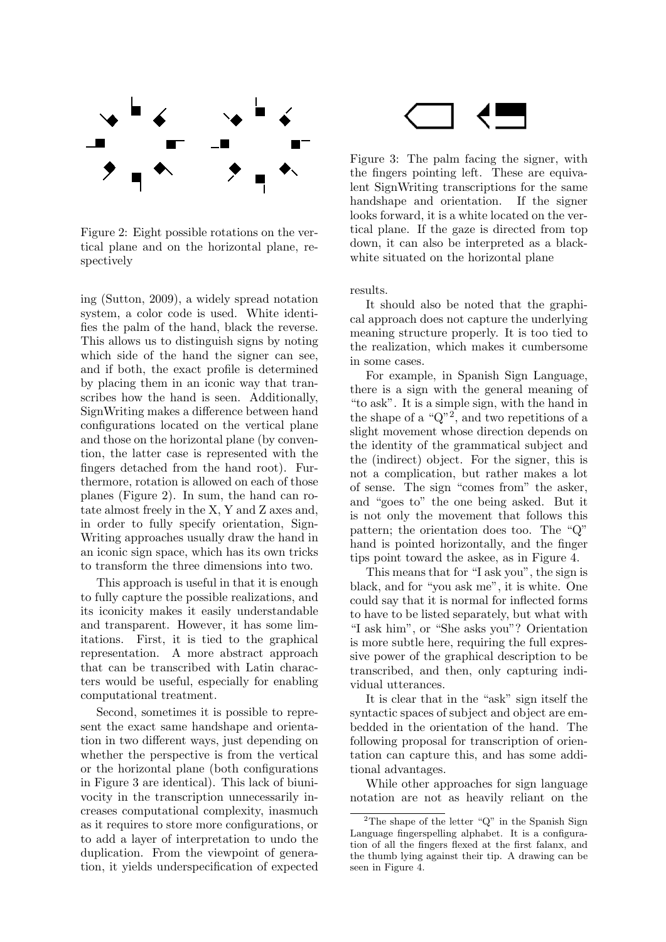

<span id="page-2-0"></span>Figure 2: Eight possible rotations on the vertical plane and on the horizontal plane, respectively

ing [\(Sutton, 2009\)](#page-0-0), a widely spread notation system, a color code is used. White identifies the palm of the hand, black the reverse. This allows us to distinguish signs by noting which side of the hand the signer can see, and if both, the exact profile is determined by placing them in an iconic way that transcribes how the hand is seen. Additionally, SignWriting makes a difference between hand configurations located on the vertical plane and those on the horizontal plane (by convention, the latter case is represented with the fingers detached from the hand root). Furthermore, rotation is allowed on each of those planes (Figure [2\)](#page-2-0). In sum, the hand can rotate almost freely in the X, Y and Z axes and, in order to fully specify orientation, Sign-Writing approaches usually draw the hand in an iconic sign space, which has its own tricks to transform the three dimensions into two.

This approach is useful in that it is enough to fully capture the possible realizations, and its iconicity makes it easily understandable and transparent. However, it has some limitations. First, it is tied to the graphical representation. A more abstract approach that can be transcribed with Latin characters would be useful, especially for enabling computational treatment.

Second, sometimes it is possible to represent the exact same handshape and orientation in two different ways, just depending on whether the perspective is from the vertical or the horizontal plane (both configurations in Figure [3](#page-2-1) are identical). This lack of biunivocity in the transcription unnecessarily increases computational complexity, inasmuch as it requires to store more configurations, or to add a layer of interpretation to undo the duplication. From the viewpoint of generation, it yields underspecification of expected

<span id="page-2-1"></span>Figure 3: The palm facing the signer, with the fingers pointing left. These are equivalent SignWriting transcriptions for the same handshape and orientation. If the signer looks forward, it is a white located on the vertical plane. If the gaze is directed from top down, it can also be interpreted as a blackwhite situated on the horizontal plane

results.

It should also be noted that the graphical approach does not capture the underlying meaning structure properly. It is too tied to the realization, which makes it cumbersome in some cases.

For example, in Spanish Sign Language, there is a sign with the general meaning of "to ask". It is a simple sign, with the hand in the shape of a " $Q$ "<sup>[2](#page-2-2)</sup>, and two repetitions of a slight movement whose direction depends on the identity of the grammatical subject and the (indirect) object. For the signer, this is not a complication, but rather makes a lot of sense. The sign "comes from" the asker, and "goes to" the one being asked. But it is not only the movement that follows this pattern; the orientation does too. The "Q" hand is pointed horizontally, and the finger tips point toward the askee, as in Figure [4.](#page-3-1)

This means that for "I ask you", the sign is black, and for "you ask me", it is white. One could say that it is normal for inflected forms to have to be listed separately, but what with "I ask him", or "She asks you"? Orientation is more subtle here, requiring the full expressive power of the graphical description to be transcribed, and then, only capturing individual utterances.

It is clear that in the "ask" sign itself the syntactic spaces of subject and object are embedded in the orientation of the hand. The following proposal for transcription of orientation can capture this, and has some additional advantages.

While other approaches for sign language notation are not as heavily reliant on the

<span id="page-2-2"></span> $^2 \mathrm{The}$  shape of the letter "Q" in the Spanish Sign Language fingerspelling alphabet. It is a configuration of all the fingers flexed at the first falanx, and the thumb lying against their tip. A drawing can be seen in Figure [4.](#page-3-1)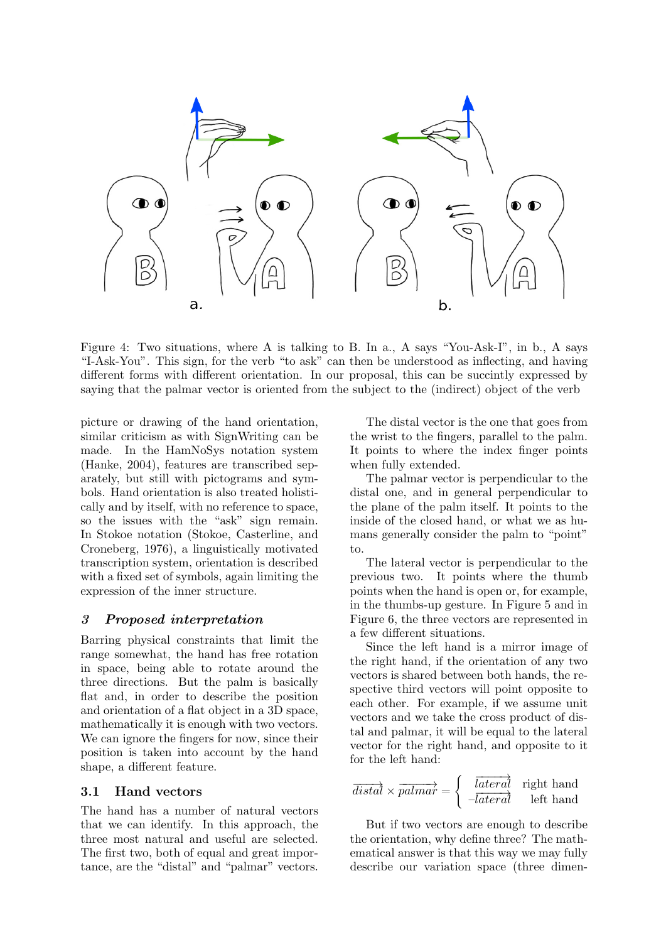

Figure 4: Two situations, where A is talking to B. In a., A says "You-Ask-I", in b., A says "I-Ask-You". This sign, for the verb "to ask" can then be understood as inflecting, and having different forms with different orientation. In our proposal, this can be succintly expressed by saying that the palmar vector is oriented from the subject to the (indirect) object of the verb

picture or drawing of the hand orientation, similar criticism as with SignWriting can be made. In the HamNoSys notation system [\(Hanke, 2004\)](#page-0-0), features are transcribed separately, but still with pictograms and symbols. Hand orientation is also treated holistically and by itself, with no reference to space, so the issues with the "ask" sign remain. In Stokoe notation [\(Stokoe, Casterline, and](#page-0-0) [Croneberg, 1976\)](#page-0-0), a linguistically motivated transcription system, orientation is described with a fixed set of symbols, again limiting the expression of the inner structure.

# <span id="page-3-0"></span>3 Proposed interpretation

Barring physical constraints that limit the range somewhat, the hand has free rotation in space, being able to rotate around the three directions. But the palm is basically flat and, in order to describe the position and orientation of a flat object in a 3D space, mathematically it is enough with two vectors. We can ignore the fingers for now, since their position is taken into account by the hand shape, a different feature.

### 3.1 Hand vectors

The hand has a number of natural vectors that we can identify. In this approach, the three most natural and useful are selected. The first two, both of equal and great importance, are the "distal" and "palmar" vectors.

<span id="page-3-1"></span>The distal vector is the one that goes from the wrist to the fingers, parallel to the palm. It points to where the index finger points when fully extended.

The palmar vector is perpendicular to the distal one, and in general perpendicular to the plane of the palm itself. It points to the inside of the closed hand, or what we as humans generally consider the palm to "point" to.

The lateral vector is perpendicular to the previous two. It points where the thumb points when the hand is open or, for example, in the thumbs-up gesture. In Figure [5](#page-4-0) and in Figure [6,](#page-4-1) the three vectors are represented in a few different situations.

Since the left hand is a mirror image of the right hand, if the orientation of any two vectors is shared between both hands, the respective third vectors will point opposite to each other. For example, if we assume unit vectors and we take the cross product of distal and palmar, it will be equal to the lateral vector for the right hand, and opposite to it for the left hand:

$$
\overrightarrow{distal} \times \overrightarrow{palmar} = \begin{cases} \overrightarrow{lateral} & \text{right hand} \\ \overrightarrow{-lateral} & \text{left hand} \end{cases}
$$

But if two vectors are enough to describe the orientation, why define three? The mathematical answer is that this way we may fully describe our variation space (three dimen-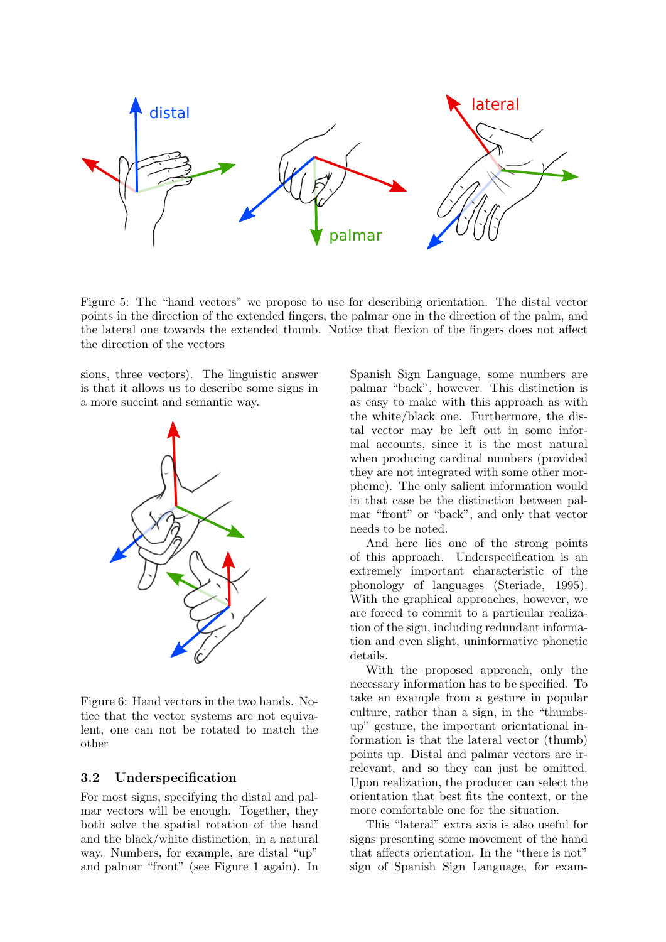

Figure 5: The "hand vectors" we propose to use for describing orientation. The distal vector points in the direction of the extended fingers, the palmar one in the direction of the palm, and the lateral one towards the extended thumb. Notice that flexion of the fingers does not affect the direction of the vectors

sions, three vectors). The linguistic answer is that it allows us to describe some signs in a more succint and semantic way.



Figure 6: Hand vectors in the two hands. Notice that the vector systems are not equivalent, one can not be rotated to match the other

## 3.2 Underspecification

For most signs, specifying the distal and palmar vectors will be enough. Together, they both solve the spatial rotation of the hand and the black/white distinction, in a natural way. Numbers, for example, are distal "up" and palmar "front" (see Figure [1](#page-1-0) again). In <span id="page-4-0"></span>Spanish Sign Language, some numbers are palmar "back", however. This distinction is as easy to make with this approach as with the white/black one. Furthermore, the distal vector may be left out in some informal accounts, since it is the most natural when producing cardinal numbers (provided they are not integrated with some other morpheme). The only salient information would in that case be the distinction between palmar "front" or "back", and only that vector needs to be noted.

And here lies one of the strong points of this approach. Underspecification is an extremely important characteristic of the phonology of languages [\(Steriade, 1995\)](#page-0-0). With the graphical approaches, however, we are forced to commit to a particular realization of the sign, including redundant information and even slight, uninformative phonetic details.

<span id="page-4-1"></span>With the proposed approach, only the necessary information has to be specified. To take an example from a gesture in popular culture, rather than a sign, in the "thumbsup" gesture, the important orientational information is that the lateral vector (thumb) points up. Distal and palmar vectors are irrelevant, and so they can just be omitted. Upon realization, the producer can select the orientation that best fits the context, or the more comfortable one for the situation.

This "lateral" extra axis is also useful for signs presenting some movement of the hand that affects orientation. In the "there is not" sign of Spanish Sign Language, for exam-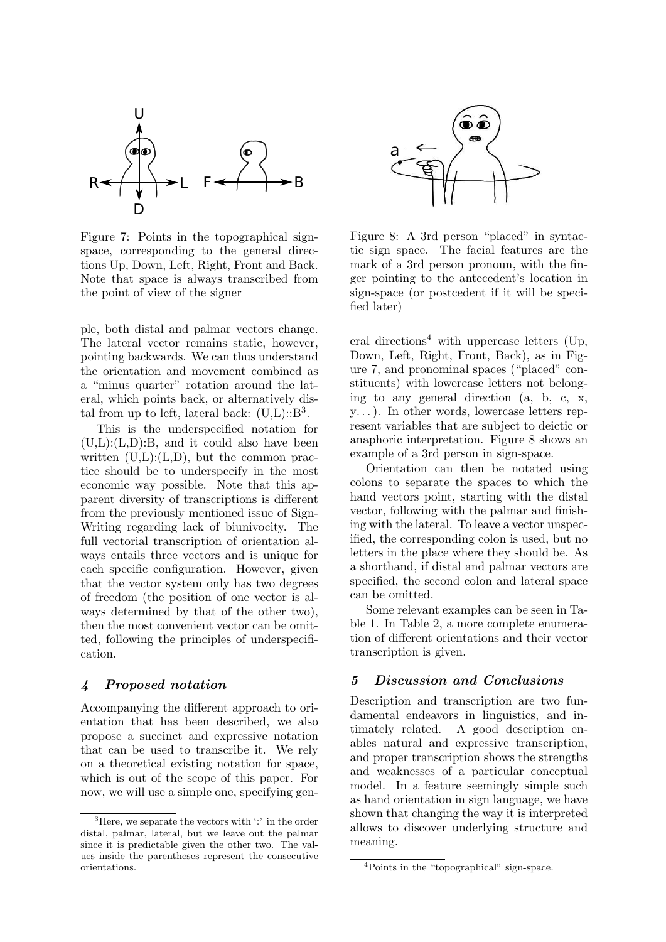

Figure 7: Points in the topographical signspace, corresponding to the general directions Up, Down, Left, Right, Front and Back. Note that space is always transcribed from the point of view of the signer

ple, both distal and palmar vectors change. The lateral vector remains static, however, pointing backwards. We can thus understand the orientation and movement combined as a "minus quarter" rotation around the lateral, which points back, or alternatively distal from up to left, lateral back:  $(U,L):B^3$  $(U,L):B^3$ .

This is the underspecified notation for  $(U,L):(L,D):B$ , and it could also have been written  $(U,L):(L,D)$ , but the common practice should be to underspecify in the most economic way possible. Note that this apparent diversity of transcriptions is different from the previously mentioned issue of Sign-Writing regarding lack of biunivocity. The full vectorial transcription of orientation always entails three vectors and is unique for each specific configuration. However, given that the vector system only has two degrees of freedom (the position of one vector is always determined by that of the other two), then the most convenient vector can be omitted, following the principles of underspecification.

## <span id="page-5-0"></span>4 Proposed notation

Accompanying the different approach to orientation that has been described, we also propose a succinct and expressive notation that can be used to transcribe it. We rely on a theoretical existing notation for space, which is out of the scope of this paper. For now, we will use a simple one, specifying gen-

<span id="page-5-5"></span>

<span id="page-5-4"></span>Figure 8: A 3rd person "placed" in syntactic sign space. The facial features are the mark of a 3rd person pronoun, with the finger pointing to the antecedent's location in sign-space (or postcedent if it will be specified later)

eral directions<sup>[4](#page-5-3)</sup> with uppercase letters (Up, Down, Left, Right, Front, Back), as in Figure [7,](#page-5-4) and pronominal spaces ("placed" constituents) with lowercase letters not belonging to any general direction (a, b, c, x, y. . . ). In other words, lowercase letters represent variables that are subject to deictic or anaphoric interpretation. Figure [8](#page-5-5) shows an example of a 3rd person in sign-space.

Orientation can then be notated using colons to separate the spaces to which the hand vectors point, starting with the distal vector, following with the palmar and finishing with the lateral. To leave a vector unspecified, the corresponding colon is used, but no letters in the place where they should be. As a shorthand, if distal and palmar vectors are specified, the second colon and lateral space can be omitted.

Some relevant examples can be seen in Table [1.](#page-6-0) In Table [2,](#page-7-0) a more complete enumeration of different orientations and their vector transcription is given.

# <span id="page-5-1"></span>5 Discussion and Conclusions

Description and transcription are two fundamental endeavors in linguistics, and intimately related. A good description enables natural and expressive transcription, and proper transcription shows the strengths and weaknesses of a particular conceptual model. In a feature seemingly simple such as hand orientation in sign language, we have shown that changing the way it is interpreted allows to discover underlying structure and meaning.

<span id="page-5-2"></span> ${}^{3}$ Here, we separate the vectors with  $\cdot$  in the order distal, palmar, lateral, but we leave out the palmar since it is predictable given the other two. The values inside the parentheses represent the consecutive orientations.

<span id="page-5-3"></span><sup>4</sup>Points in the "topographical" sign-space.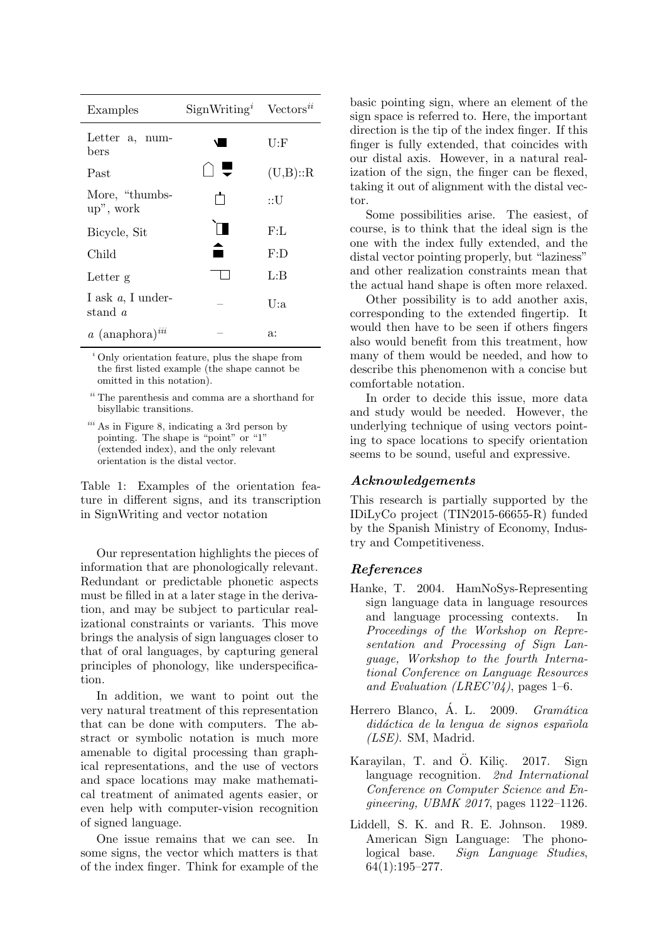| Examples                        | $SignWritingi$ Vectors <sup><i>ii</i></sup> |         |  |
|---------------------------------|---------------------------------------------|---------|--|
| Letter a, num-<br>bers          |                                             | U:F     |  |
| Past                            |                                             | (U,B):R |  |
| More, "thumbs-<br>up", work     |                                             | ∷U      |  |
| Bicycle, Sit                    |                                             | F: L    |  |
| Child                           |                                             | F:D     |  |
| Letter g                        |                                             | LB      |  |
| I ask $a$ , I under-<br>stand a |                                             | U:a     |  |
| $a$ (anaphora) $^{iii}$         |                                             | a:      |  |

<sup>i</sup> Only orientation feature, plus the shape from the first listed example (the shape cannot be omitted in this notation).

 $\real^{ii}$  The parenthesis and comma are a shorthand for bisyllabic transitions.

iii As in Figure [8,](#page-5-5) indicating a 3rd person by pointing. The shape is "point" or "1" (extended index), and the only relevant orientation is the distal vector.

<span id="page-6-0"></span>Table 1: Examples of the orientation feature in different signs, and its transcription in SignWriting and vector notation

Our representation highlights the pieces of information that are phonologically relevant. Redundant or predictable phonetic aspects must be filled in at a later stage in the derivation, and may be subject to particular realizational constraints or variants. This move brings the analysis of sign languages closer to that of oral languages, by capturing general principles of phonology, like underspecification.

In addition, we want to point out the very natural treatment of this representation that can be done with computers. The abstract or symbolic notation is much more amenable to digital processing than graphical representations, and the use of vectors and space locations may make mathematical treatment of animated agents easier, or even help with computer-vision recognition of signed language.

One issue remains that we can see. In some signs, the vector which matters is that of the index finger. Think for example of the

basic pointing sign, where an element of the sign space is referred to. Here, the important direction is the tip of the index finger. If this finger is fully extended, that coincides with our distal axis. However, in a natural realization of the sign, the finger can be flexed, taking it out of alignment with the distal vector.

Some possibilities arise. The easiest, of course, is to think that the ideal sign is the one with the index fully extended, and the distal vector pointing properly, but "laziness" and other realization constraints mean that the actual hand shape is often more relaxed.

Other possibility is to add another axis, corresponding to the extended fingertip. It would then have to be seen if others fingers also would benefit from this treatment, how many of them would be needed, and how to describe this phenomenon with a concise but comfortable notation.

In order to decide this issue, more data and study would be needed. However, the underlying technique of using vectors pointing to space locations to specify orientation seems to be sound, useful and expressive.

# Acknowledgements

This research is partially supported by the IDiLyCo project (TIN2015-66655-R) funded by the Spanish Ministry of Economy, Industry and Competitiveness.

# References

- Hanke, T. 2004. HamNoSys-Representing sign language data in language resources and language processing contexts. In Proceedings of the Workshop on Representation and Processing of Sign Language, Workshop to the fourth International Conference on Language Resources and Evaluation (LREC'04), pages 1–6.
- Herrero Blanco, Á. L. 2009. Gramática didáctica de la lengua de signos española (LSE). SM, Madrid.
- Karayilan, T. and Ö. Kiliç. 2017. Sign language recognition. 2nd International Conference on Computer Science and Engineering, UBMK 2017, pages 1122–1126.
- Liddell, S. K. and R. E. Johnson. 1989. American Sign Language: The phonological base. Sign Language Studies, 64(1):195–277.